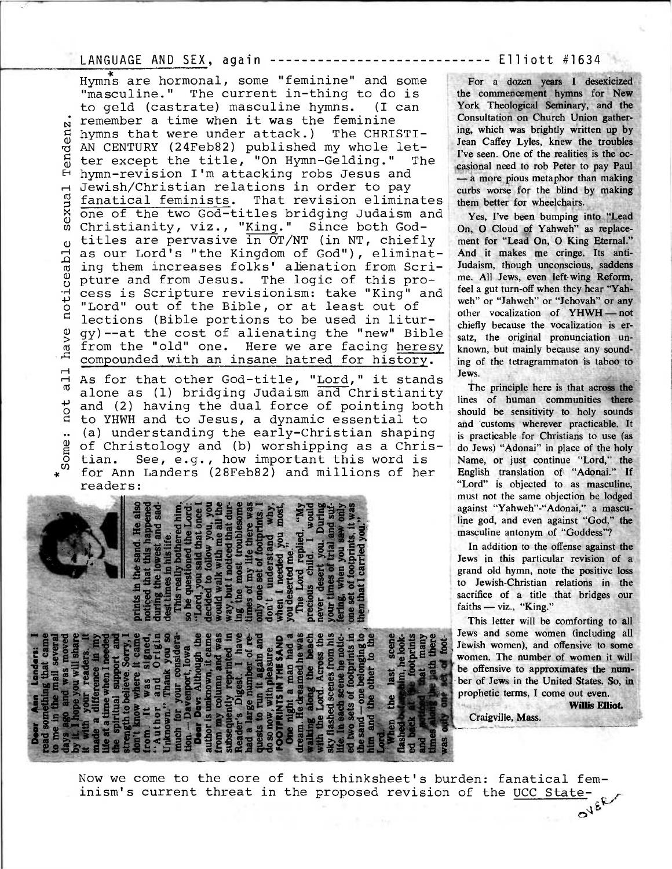## LANGUAGE AND SEX, again --------------------------- Elliott #1634

•

Hymns are hormonal, some "feminine" and some "masculine." The current in-thing to do is to geld (castrate) masculine hymns. (I can remember a time when it was the feminine hymns that were under attack.) The CHRISTI-Tenden AN CENTURY (24Feb82) published my whole letter except the title, "On Hymn-Gelding." The blesexua l Te hymn-revision I'm attacking robs Jesus and Jewish/Christian relations in order to pay **G** fanatical feminists. That revision eliminates sexu one of the two God-titles bridging Judaism and Christianity, viz., "King." Since both Godtitles are pervasive in OT/NT (in NT, chiefly  $\omega$ as our Lord's "the Kingdom of God"), eliminatnoticeabl ing them increases folks' alenation from Scrinot all have notice pture and from Jesus. The logic of this process is Scripture revisionism: take "King" and "Lord" out of the Bible, or at least out of lections (Bible portions to be used in liturhave gy)--at the cost of alienating the "new" Bible from the "old" one. Here we are facing heresy compounded with an insane hatred for history.

.<br>ه As for that other God-title, "Lord," it stands alone as (1) bridging Judaism and Christianity and (2) having the dual force of pointing both ΩO to YHWH and to Jesus, a dynamic essential to (a) understanding the early-Christian shaping  $\ddot{\phantom{a}}$ of Christology and (b) worshipping as a Christian. See, e.g., how important this word is for Ann Landers (28Feb82) and millions of her readers:

05-19 20 10 12 DO **E OS . .0% w V S**  mts. 1<br>
why,<br>
most,<br> **c** 001<br> **c** 001y<br> **c** 001y<br> **c** was **41) ig 4** 1 **u s..,**  there w<br>
obprints<br>
of a wind<br>
you mood<br>
iled, "<br>
i wou"<br>
i saw on<br>
i saw on<br>
i saw on<br>
i saw on<br>
i saw on<br>
i saw on<br>
i and i saw on<br>
i and i saw on<br>
i and i saw on<br>
i and i saw on<br>
i and i and i saw on<br>
i and i saw on<br>
i a  $\frac{34}{4}$   $\frac{44}{4}$   $\frac{44}{4}$   $\frac{44}{4}$   $\frac{44}{4}$   $\frac{44}{4}$   $\frac{44}{4}$   $\frac{44}{4}$   $\frac{44}{4}$   $\frac{44}{4}$   $\frac{44}{4}$   $\frac{44}{4}$   $\frac{44}{4}$   $\frac{44}{4}$   $\frac{44}{4}$   $\frac{44}{4}$   $\frac{44}{4}$   $\frac{44}{4}$   $\frac{44}{4}$   $\frac{44}{4}$  ......  $\frac{1}{4}$  food  $\frac{1}{2}$  and  $\frac{1}{2}$   $\frac{1}{2}$   $\frac{1}{2}$   $\frac{1}{2}$   $\frac{1}{2}$   $\frac{1}{2}$   $\frac{1}{2}$   $\frac{1}{2}$   $\frac{1}{2}$   $\frac{1}{2}$   $\frac{1}{2}$   $\frac{1}{2}$   $\frac{1}{2}$   $\frac{1}{2}$   $\frac{1}{2}$   $\frac{1}{2}$   $\frac{1}{2}$   $\frac{1}{2}$   $\frac{1}{2}$   $\$  $\frac{1}{2}$  of formulation of  $\frac{1}{2}$  and  $\frac{1}{2}$  and  $\frac{1}{2}$  .  $\frac{1}{2}$  ,  $\frac{1}{2}$  ,  $\frac{1}{2}$  ,  $\frac{1}{2}$  ,  $\frac{1}{2}$  ,  $\frac{1}{2}$  ,  $\frac{1}{2}$  ,  $\frac{1}{2}$  ,  $\frac{1}{2}$  ,  $\frac{1}{2}$  ,  $\frac{1}{2}$  ,  $\frac{1}{2}$  ,  $\frac{1}{2}$  $\frac{m}{3}$ <br>  $\frac{m}{3}$ <br>  $\frac{m}{3}$ <br>  $\frac{m}{3}$ <br>  $\frac{m}{3}$ <br>  $\frac{m}{3}$ <br>  $\frac{m}{3}$ <br>  $\frac{m}{3}$ <br>  $\frac{m}{3}$ <br>  $\frac{m}{3}$ <br>  $\frac{m}{3}$ <br>  $\frac{m}{3}$ **1..''Se..-.'** =t."8 °3 **....= 0.102 0 0 p2tAte0.'. M.5 S.7 Ca & O. 0 P 0 .. -•••• 41i .0 .0 46 0 ..... ... ,92, 0 idige Watch Authority**<br>**i44** and **3 example Watch Authority**<br>**i44** and **3** and **3** and **3** p... and *P... model*<br>**i44** and **3** p... and *P... model* **876 december ..a03 fg8 <sup>4</sup>45.8S**   $\frac{8}{2}$ d. He<br>happed<br>the designation<br>designation<br>ideal **c** with<br> **cost**  $\overline{\mathbf{a}}$  $\begin{array}{c}\n\text{meas} \\
\text{real} \\
\text{result} \\
\text{you} \\
\text{value} \\
\text{value} \\
\text{value} \\
\text{true} \\
\text{true} \\
\text{true} \\
\text{true} \\
\text{true} \\
\text{true} \\
\text{true} \\
\text{true} \\
\text{true} \\
\text{true} \\
\text{true} \\
\text{true} \\
\text{true} \\
\text{true} \\
\text{true} \\
\text{true} \\
\text{true} \\
\text{true} \\
\text{true} \\
\text{true} \\
\text{true} \\
\text{true} \\
\text{true} \\
\text{true} \\
\text{true} \\
\text{true} \\
\text{true} \\
\text{true} \\
\$ ... " a la 2 travella de la 2 travella de la 2 travella de la 2 travella de la 2 travella de la 2 travella de la 2<br>1 de la 2 travella de la 2 travella de la 2 travella de la 2 travella de la 2 travella de la 2 travella de la ... **1,3 114 ag** <sup>2</sup>0S-=0 **•prt**  1 \*--. -4 - . -v-arg.a.0›. **1** 2.9;ute.a'4.. -ag. - = 02e.cff- :1 as = **0 es c6=230Z=gLeitv 214mg134b=11.0t <sup>w</sup>-5, 2 <sup>a</sup>\*3 <sup>3</sup>**w=osa› ,...01 k ,‹0;82= gd- c3'  $\frac{1}{2}$ **e**  $\frac{1}{2}$  **b**  $\frac{1}{2}$  **o**  $\frac{1}{2}$  **b**  $\frac{1}{2}$  **b**  $\frac{1}{2}$  **c**  $\frac{1}{2}$  **c**  $\frac{1}{2}$  **c**  $\frac{1}{2}$  **c**  $\frac{1}{2}$  **c**  $\frac{1}{2}$  **c**  $\frac{1}{2}$  **c**  $\frac{1}{2}$  **c**  $\frac{1}{2}$  **c**  $\frac{1}{2}$  **c**  $\frac{1}{2}$  **c** ca .4 <sup>0</sup> 8...-0srce= 0.45; 0-0 .0a >,= **ago:if:so**   $k$  and  $k$  and  $k$  and  $k$  and  $k$  and  $k$  and  $k$  and  $k$  and  $k$  and  $k$  and  $k$  and  $k$  and  $k$  and  $k$  and  $k$  and  $k$  and  $k$  and  $k$  and  $k$  and  $k$  and  $k$  and  $k$  and  $k$  and  $k$  and  $k$  and  $k$  and  $k$  and  $k$  a **de a signal of the search of the search of the search of the search of the search of the search of the search of the search of the search of the search of the search of the search of the search of the search of the search**  $\frac{1}{2}$   $\frac{3}{2}$   $\frac{1}{2}$   $\frac{1}{2}$   $\frac{1}{2}$   $\frac{1}{2}$   $\frac{1}{2}$   $\frac{1}{2}$   $\frac{1}{2}$   $\frac{1}{2}$   $\frac{1}{2}$   $\frac{1}{2}$   $\frac{1}{2}$   $\frac{1}{2}$   $\frac{1}{2}$   $\frac{1}{2}$   $\frac{1}{2}$   $\frac{1}{2}$   $\frac{1}{2}$   $\frac{1}{2}$   $\frac{1}{2}$   $\frac{1}{2}$ 

For a dozen years I desexicized the commencement hymns for New York Theological Seminary, and the Consultation on Church Union gathering, which was brightly written up by Jean Caffey Lyles, knew the troubles I've seen. One of the realities is the occasional need to rob Peter to pay Paul — a more pious metaphor than making curbs worse for the blind by making them better for wheelchairs.

Yes, I've been bumping into "Lead On, 0 Cloud of Yahweh" as replacement for "Lead On, 0 King Eternal." And it makes me cringe. Its anti-Judaism, though unconscious, saddens me. All Jews, even left-wing Reform, feel a gut turn-off when they hear "Yahweh" or "Jahweh" or "Jehovah" or any other vocalization of YHWH — not chiefly because the vocalization is ersatz, the original pronunciation unknown, but mainly because any sounding of the tetragrammaton is taboo to Jews.

The principle here is that across the lines of human communities there should be sensitivity to holy sounds and customs wherever practicable. It is practicable for Christians to use (as do Jews) "Adonai" in place of the holy Name, or just continue "Lord," the English translation of "Adonai." If "Lord" is objected to as masculine, must not the same objection be lodged against "Yahweh"-"Adonai," a masculine god, and even against "God," the masculine antonym of "Goddess"?

In addition to the offense against the Jews in this particular revision of a grand old hymn, note the positive loss to Jewish-Christian relations in the sacrifice of a title that bridges our faiths — viz., "King."

This letter will be comforting to all Jews and some women (including all Jewish women), and offensive **to some**  women. The number of women it **will be offensive to approximates the number of Jews in the United States. So, in prophetic terms, I come out even.** 

**Willis Elliot.** 

**Craigville, Mass.** 

Now we come to the core of this thinksheet's burden: fanatical feminism's current threat in the proposed revision of the UCC State-OVER /